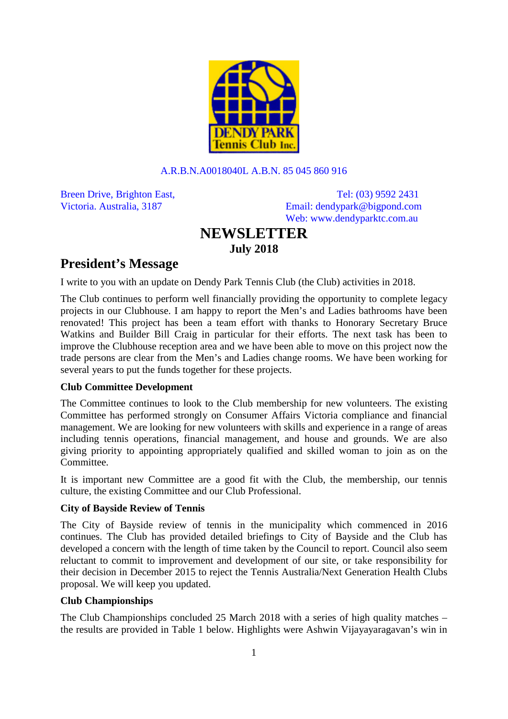

#### A.R.B.N.A0018040L A.B.N. 85 045 860 916

Breen Drive, Brighton East, Tel: (03) 9592 2431 Victoria. Australia, 3187 Email: [dendypark@bigpond.com](mailto:dendypark@bigpond.com) Web: www.dendyparktc.com.au

# **NEWSLETTER July 2018**

# **President's Message**

I write to you with an update on Dendy Park Tennis Club (the Club) activities in 2018.

The Club continues to perform well financially providing the opportunity to complete legacy projects in our Clubhouse. I am happy to report the Men's and Ladies bathrooms have been renovated! This project has been a team effort with thanks to Honorary Secretary Bruce Watkins and Builder Bill Craig in particular for their efforts. The next task has been to improve the Clubhouse reception area and we have been able to move on this project now the trade persons are clear from the Men's and Ladies change rooms. We have been working for several years to put the funds together for these projects.

#### **Club Committee Development**

The Committee continues to look to the Club membership for new volunteers. The existing Committee has performed strongly on Consumer Affairs Victoria compliance and financial management. We are looking for new volunteers with skills and experience in a range of areas including tennis operations, financial management, and house and grounds. We are also giving priority to appointing appropriately qualified and skilled woman to join as on the Committee.

It is important new Committee are a good fit with the Club, the membership, our tennis culture, the existing Committee and our Club Professional.

# **City of Bayside Review of Tennis**

The City of Bayside review of tennis in the municipality which commenced in 2016 continues. The Club has provided detailed briefings to City of Bayside and the Club has developed a concern with the length of time taken by the Council to report. Council also seem reluctant to commit to improvement and development of our site, or take responsibility for their decision in December 2015 to reject the Tennis Australia/Next Generation Health Clubs proposal. We will keep you updated.

# **Club Championships**

The Club Championships concluded 25 March 2018 with a series of high quality matches – the results are provided in Table 1 below. Highlights were Ashwin Vijayayaragavan's win in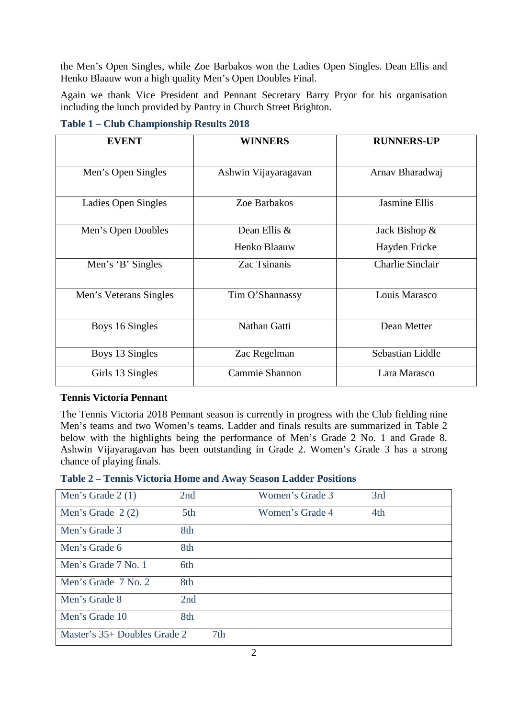the Men's Open Singles, while Zoe Barbakos won the Ladies Open Singles. Dean Ellis and Henko Blaauw won a high quality Men's Open Doubles Final.

Again we thank Vice President and Pennant Secretary Barry Pryor for his organisation including the lunch provided by Pantry in Church Street Brighton.

**Table 1 – Club Championship Results 2018**

| <b>EVENT</b>           | <b>WINNERS</b>                 | <b>RUNNERS-UP</b><br>Arnav Bharadwaj |  |
|------------------------|--------------------------------|--------------------------------------|--|
| Men's Open Singles     | Ashwin Vijayaragavan           |                                      |  |
| Ladies Open Singles    | Zoe Barbakos                   | <b>Jasmine Ellis</b>                 |  |
| Men's Open Doubles     | Dean Ellis &                   | Jack Bishop &                        |  |
|                        | Henko Blaauw                   | Hayden Fricke                        |  |
| Men's 'B' Singles      | Zac Tsinanis                   | <b>Charlie Sinclair</b>              |  |
| Men's Veterans Singles | Tim O'Shannassy                | Louis Marasco                        |  |
| Boys 16 Singles        | Nathan Gatti                   | Dean Metter                          |  |
| Boys 13 Singles        | Zac Regelman                   | Sebastian Liddle                     |  |
| Girls 13 Singles       | Cammie Shannon<br>Lara Marasco |                                      |  |

#### **Tennis Victoria Pennant**

The Tennis Victoria 2018 Pennant season is currently in progress with the Club fielding nine Men's teams and two Women's teams. Ladder and finals results are summarized in Table 2 below with the highlights being the performance of Men's Grade 2 No. 1 and Grade 8. Ashwin Vijayaragavan has been outstanding in Grade 2. Women's Grade 3 has a strong chance of playing finals.

| Men's Grade 2 (1)            | 2nd             | Women's Grade 3 | 3rd |
|------------------------------|-----------------|-----------------|-----|
| Men's Grade $2(2)$           | 5th             | Women's Grade 4 | 4th |
| Men's Grade 3                | 8th             |                 |     |
| Men's Grade 6                | 8th             |                 |     |
| Men's Grade 7 No. 1          | 6th             |                 |     |
| Men's Grade 7 No. 2          | 8th             |                 |     |
| Men's Grade 8                | 2nd             |                 |     |
| Men's Grade 10               | 8th             |                 |     |
| Master's 35+ Doubles Grade 2 | 7 <sub>th</sub> |                 |     |